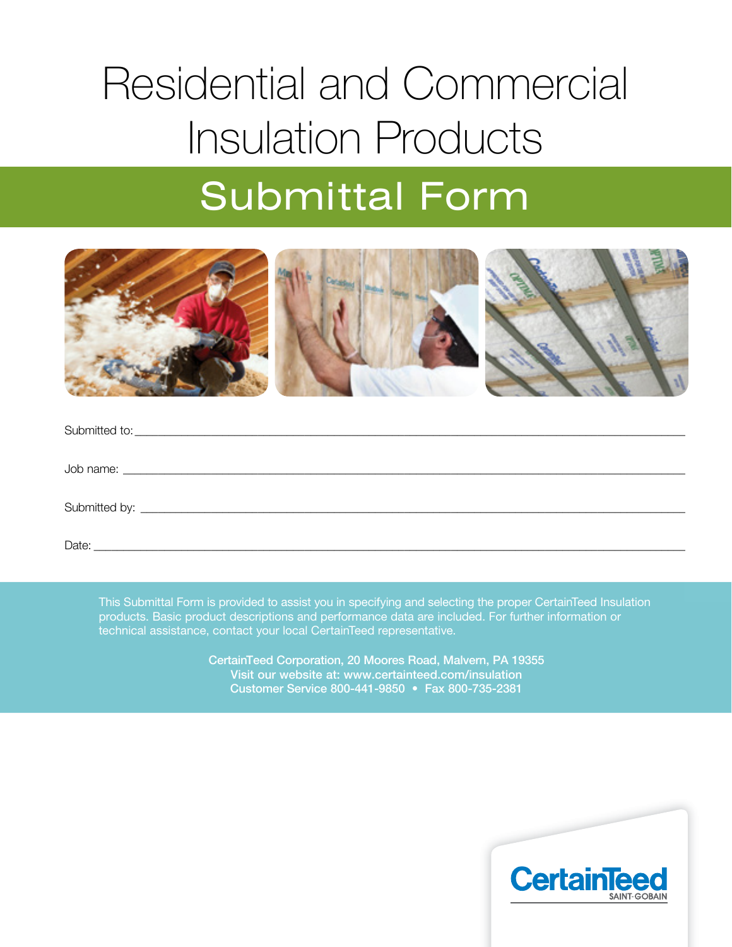# Residential and Commercial Insulation Products Submittal Form



| Date:<br><u> 1980 - Jan James James, martin de filozof, martin de filozof, martin de filozof, martin de filozof, martin d</u> |  |
|-------------------------------------------------------------------------------------------------------------------------------|--|

This Submittal Form is provided to assist you in specifying and selecting the proper CertainTeed Insulation products. Basic product descriptions and performance data are included. For further information or technical assistance, contact your local CertainTeed representative.

> CertainTeed Corporation, 20 Moores Road, Malvern, PA 19355 Visit our website at: www.certainteed.com/insulation Customer Service 800-441-9850 • Fax 800-735-2381

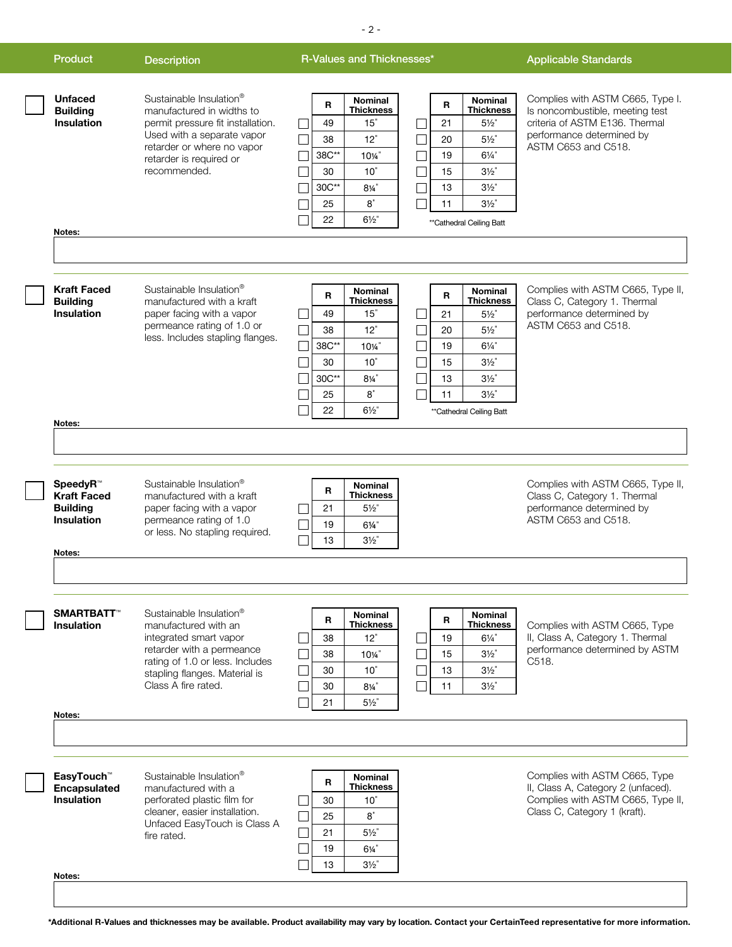| <b>Product</b>                                                                   | <b>Description</b>                                                                                                                                                                                            | R-Values and Thicknesses*                                                                                                                                                                                                                                                                                                                                                                          | <b>Applicable Standards</b>                                                                                                                               |
|----------------------------------------------------------------------------------|---------------------------------------------------------------------------------------------------------------------------------------------------------------------------------------------------------------|----------------------------------------------------------------------------------------------------------------------------------------------------------------------------------------------------------------------------------------------------------------------------------------------------------------------------------------------------------------------------------------------------|-----------------------------------------------------------------------------------------------------------------------------------------------------------|
| <b>Unfaced</b><br><b>Building</b><br><b>Insulation</b><br>Notes:                 | Sustainable Insulation <sup>®</sup><br>manufactured in widths to<br>permit pressure fit installation.<br>Used with a separate vapor<br>retarder or where no vapor<br>retarder is required or<br>recommended.  | <b>Nominal</b><br><b>Nominal</b><br>R<br>R<br><b>Thickness</b><br><b>Thickness</b><br>15"<br>21<br>$5\frac{1}{2}$<br>49<br>12"<br>$5\frac{1}{2}$<br>20<br>38<br>$6\frac{1}{4}$ "<br>38C**<br>10%"<br>19<br>10"<br>$3\frac{1}{2}$<br>15<br>30<br>30C**<br>$8\frac{1}{4}$<br>$3\frac{1}{2}$<br>13<br>$8^{\degree}$<br>$3\frac{1}{2}$<br>11<br>25<br>22<br>$6\frac{1}{2}$<br>**Cathedral Ceiling Batt | Complies with ASTM C665, Type I.<br>Is noncombustible, meeting test<br>criteria of ASTM E136. Thermal<br>performance determined by<br>ASTM C653 and C518. |
| <b>Kraft Faced</b><br><b>Building</b><br>Insulation<br>Notes:                    | Sustainable Insulation <sup>®</sup><br>manufactured with a kraft<br>paper facing with a vapor<br>permeance rating of 1.0 or<br>less. Includes stapling flanges.                                               | Nominal<br><b>Nominal</b><br>R<br>R<br><b>Thickness</b><br><b>Thickness</b><br>15"<br>21<br>$5\frac{1}{2}$<br>49<br>12"<br>38<br>20<br>$5\frac{1}{2}$<br>38C**<br>10%"<br>$6\frac{1}{4}$<br>19<br>$3\frac{1}{2}$<br>30<br>10"<br>15<br>30C**<br>$8\%$ "<br>13<br>$3\frac{1}{2}$<br>8"<br>$3\frac{1}{2}$<br>11<br>25<br>$6\frac{1}{2}$<br>22<br>**Cathedral Ceiling Batt                            | Complies with ASTM C665, Type II,<br>Class C, Category 1. Thermal<br>performance determined by<br>ASTM C653 and C518.                                     |
| SpeedyR™<br><b>Kraft Faced</b><br><b>Building</b><br><b>Insulation</b><br>Notes: | Sustainable Insulation <sup>®</sup><br>manufactured with a kraft<br>paper facing with a vapor<br>permeance rating of 1.0<br>or less. No stapling required.                                                    | <b>Nominal</b><br>R<br><b>Thickness</b><br>$5\frac{1}{2}$<br>21<br>19<br>$6\frac{1}{4}$<br>$3\frac{1}{2}$<br>13                                                                                                                                                                                                                                                                                    | Complies with ASTM C665, Type II,<br>Class C, Category 1. Thermal<br>performance determined by<br>ASTM C653 and C518.                                     |
| <b>SMARTBATT™</b><br><b>Insulation</b><br>Notes:                                 | Sustainable Insulation <sup>®</sup><br>manufactured with an<br>integrated smart vapor<br>retarder with a permeance<br>rating of 1.0 or less. Includes<br>stapling flanges. Material is<br>Class A fire rated. | Nominal<br>Nominal<br>R<br>R<br><b>Thickness</b><br><b>Thickness</b><br>12"<br>$6\frac{1}{4}$<br>38<br>19<br>$3\frac{1}{2}$<br>38<br>10%"<br>15<br>$3\frac{1}{2}$<br>10"<br>13<br>30<br>$3\frac{1}{2}$<br>$8\frac{1}{4}$<br>11<br>30<br>$5\frac{1}{2}$<br>21                                                                                                                                       | Complies with ASTM C665, Type<br>II, Class A, Category 1. Thermal<br>performance determined by ASTM<br>C518.                                              |
| EasyTouch™<br><b>Encapsulated</b><br><b>Insulation</b><br>Notes:                 | Sustainable Insulation®<br>manufactured with a<br>perforated plastic film for<br>cleaner, easier installation.<br>Unfaced EasyTouch is Class A<br>fire rated.                                                 | <b>Nominal</b><br>R<br><b>Thickness</b><br>30<br>10"<br>$\mathbf{8}^{\circ}$<br>25<br>$5\frac{1}{2}$<br>21<br>$6\frac{1}{4}$<br>19<br>$3\frac{1}{2}$<br>13                                                                                                                                                                                                                                         | Complies with ASTM C665, Type<br>II, Class A, Category 2 (unfaced).<br>Complies with ASTM C665, Type II,<br>Class C, Category 1 (kraft).                  |

- 2 -

**\*Additional R-Values and thicknesses may be available. Product availability may vary by location. Contact your CertainTeed representative for more information.**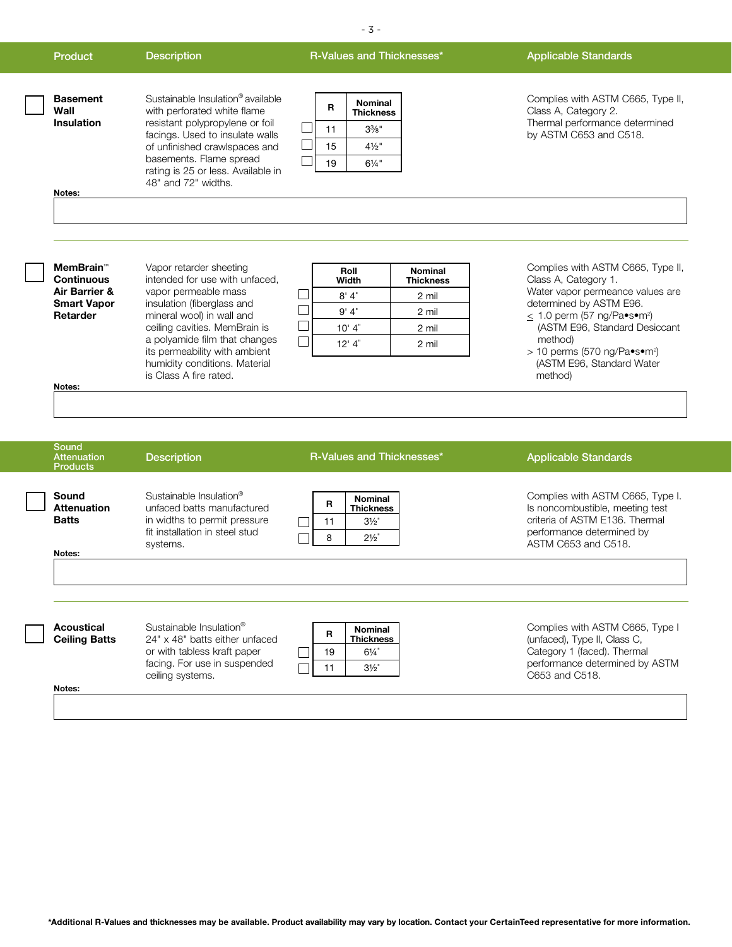|  | ×<br>٦<br>$\sim$ |  |
|--|------------------|--|
|--|------------------|--|

#### Product **Description Committee Committee Committee** B-Values and Thicknesses<sup>\*</sup> **Applicable Standards**

| <b>Basement</b><br>Wall<br><b>Insulation</b> | Sustainable Insulation <sup>®</sup> available<br>with perforated white flame<br>resistant polypropylene or foil<br>facings. Used to insulate walls<br>of unfinished crawlspaces and<br>basements. Flame spread<br>rating is 25 or less. Available in<br>48" and 72" widths. |
|----------------------------------------------|-----------------------------------------------------------------------------------------------------------------------------------------------------------------------------------------------------------------------------------------------------------------------------|

| R  | <b>Nominal</b><br><b>Thickness</b> |
|----|------------------------------------|
| 11 | $3\%$ "                            |
| 15 | $4\frac{1}{2}$ "                   |
| 19 | $6\frac{1}{4}$ "                   |

Complies with ASTM C665, Type II, Class A, Category 2. Thermal performance determined by ASTM C653 and C518.

**Notes:**

| MemBrain™<br><b>Continuous</b> | Vapor retarder sheeting<br>intended for use with unfaced,      | Roll<br>Width | <b>Nominal</b><br><b>Thickness</b> | Complies with ASTM C665, Type II,<br>Class A. Category 1.                     |
|--------------------------------|----------------------------------------------------------------|---------------|------------------------------------|-------------------------------------------------------------------------------|
| Air Barrier &                  | vapor permeable mass                                           | 8' 4''        | 2 mil                              | Water vapor permeance values are                                              |
| <b>Smart Vapor</b><br>Retarder | insulation (fiberglass and<br>mineral wool) in wall and        | 9'4''         | 2 mil                              | determined by ASTM E96.<br>$\leq$ 1.0 perm (57 ng/Pa•s•m <sup>2</sup> )       |
|                                | ceiling cavities. MemBrain is                                  | 10' 4''       | 2 mil                              | (ASTM E96, Standard Desiccant                                                 |
|                                | a polyamide film that changes<br>its permeability with ambient | 12'4''        | 2 mil                              | method)<br>$>$ 10 perms (570 ng/Pa $\text{--}$ s $\text{--}$ m <sup>2</sup> ) |
|                                | humidity conditions. Material<br>is Class A fire rated.        |               |                                    | (ASTM E96, Standard Water<br>method)                                          |
| Notes:                         |                                                                |               |                                    |                                                                               |

| <b>Products</b>                                       | <b>Description</b>                                                                                                                                       | R-Values and Thicknesses*                                                               | <b>Applicable Standards</b>                                                                                                                               |
|-------------------------------------------------------|----------------------------------------------------------------------------------------------------------------------------------------------------------|-----------------------------------------------------------------------------------------|-----------------------------------------------------------------------------------------------------------------------------------------------------------|
| Sound<br><b>Attenuation</b><br><b>Batts</b><br>Notes: | Sustainable Insulation <sup>®</sup><br>unfaced batts manufactured<br>in widths to permit pressure<br>fit installation in steel stud<br>systems.          | <b>Nominal</b><br>R<br><b>Thickness</b><br>$3\frac{1}{2}$<br>11<br>$2\frac{1}{2}$<br>8  | Complies with ASTM C665, Type I.<br>Is noncombustible, meeting test<br>criteria of ASTM E136. Thermal<br>performance determined by<br>ASTM C653 and C518. |
|                                                       |                                                                                                                                                          |                                                                                         |                                                                                                                                                           |
| Acoustical<br><b>Ceiling Batts</b>                    | Sustainable Insulation <sup>®</sup><br>24" x 48" batts either unfaced<br>or with tabless kraft paper<br>facing. For use in suspended<br>ceiling systems. | <b>Nominal</b><br>R<br><b>Thickness</b><br>$6\frac{1}{4}$<br>19<br>$3\frac{1}{2}$<br>11 | Complies with ASTM C665, Type I<br>(unfaced), Type II, Class C,<br>Category 1 (faced). Thermal<br>performance determined by ASTM<br>C653 and C518.        |
| Notes:                                                |                                                                                                                                                          |                                                                                         |                                                                                                                                                           |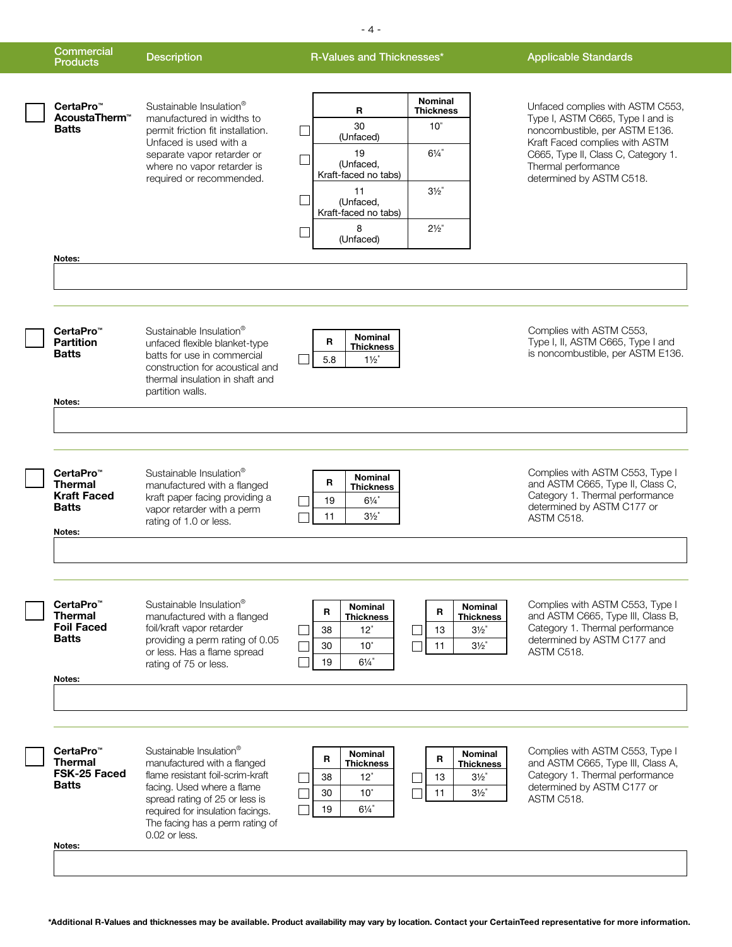| <b>Commercial</b><br><b>Products</b>                                                    | <b>Description</b>                                                                                                                                                                                                                                 | R-Values and Thicknesses*                                                                                                                                                        | <b>Applicable Standards</b>                                                                                                                                                                            |
|-----------------------------------------------------------------------------------------|----------------------------------------------------------------------------------------------------------------------------------------------------------------------------------------------------------------------------------------------------|----------------------------------------------------------------------------------------------------------------------------------------------------------------------------------|--------------------------------------------------------------------------------------------------------------------------------------------------------------------------------------------------------|
| CertaPro <sup>™</sup><br>AcoustaTherm <sup>™</sup><br><b>Batts</b>                      | Sustainable Insulation <sup>®</sup><br>manufactured in widths to<br>permit friction fit installation.<br>Unfaced is used with a<br>separate vapor retarder or<br>where no vapor retarder is                                                        | <b>Nominal</b><br>R<br><b>Thickness</b><br>30<br>10"<br>(Unfaced)<br>19<br>$6\frac{1}{4}$<br>(Unfaced,<br>Kraft-faced no tabs)                                                   | Unfaced complies with ASTM C553,<br>Type I, ASTM C665, Type I and is<br>noncombustible, per ASTM E136.<br>Kraft Faced complies with ASTM<br>C665, Type II, Class C, Category 1.<br>Thermal performance |
| Notes:                                                                                  | required or recommended.                                                                                                                                                                                                                           | $3\frac{1}{2}$<br>11<br>(Unfaced.<br>Kraft-faced no tabs)<br>8<br>$2\frac{1}{2}$<br>(Unfaced)                                                                                    | determined by ASTM C518.                                                                                                                                                                               |
| CertaPro <sup>™</sup><br><b>Partition</b><br><b>Batts</b><br>Notes:                     | Sustainable Insulation <sup>®</sup><br>unfaced flexible blanket-type<br>batts for use in commercial<br>construction for acoustical and<br>thermal insulation in shaft and<br>partition walls.                                                      | <b>Nominal</b><br>R<br><b>Thickness</b><br>5.8<br>$1\frac{1}{2}$                                                                                                                 | Complies with ASTM C553,<br>Type I, II, ASTM C665, Type I and<br>is noncombustible, per ASTM E136.                                                                                                     |
| CertaPro <sup>™</sup><br><b>Thermal</b><br><b>Kraft Faced</b><br><b>Batts</b><br>Notes: | Sustainable Insulation <sup>®</sup><br>manufactured with a flanged<br>kraft paper facing providing a<br>vapor retarder with a perm<br>rating of 1.0 or less.                                                                                       | Nominal<br>R<br><b>Thickness</b><br>$6\frac{1}{4}$<br>19<br>$3\frac{1}{2}$<br>11                                                                                                 | Complies with ASTM C553, Type I<br>and ASTM C665, Type II, Class C,<br>Category 1. Thermal performance<br>determined by ASTM C177 or<br>ASTM C518.                                                     |
| CertaPro™<br><b>Thermal</b><br><b>Foil Faced</b><br><b>Batts</b><br>Notes:              | Sustainable Insulation®<br>manufactured with a flanged<br>foil/kraft vapor retarder<br>providing a perm rating of 0.05<br>or less. Has a flame spread<br>rating of 75 or less.                                                                     | Nominal<br>Nominal<br>R<br>R<br><b>Thickness</b><br>Thickness<br>38<br>12"<br>$3\frac{1}{2}$<br>13<br>$3\frac{1}{2}$<br>10"<br>11<br>30<br>$6\frac{1}{4}$<br>19                  | Complies with ASTM C553, Type I<br>and ASTM C665, Type III, Class B,<br>Category 1. Thermal performance<br>determined by ASTM C177 and<br>ASTM C518.                                                   |
| CertaPro™<br><b>Thermal</b><br>FSK-25 Faced<br><b>Batts</b>                             | Sustainable Insulation®<br>manufactured with a flanged<br>flame resistant foil-scrim-kraft<br>facing. Used where a flame<br>spread rating of 25 or less is<br>required for insulation facings.<br>The facing has a perm rating of<br>0.02 or less. | Nominal<br><b>Nominal</b><br>R<br>$\mathbf R$<br>Thickness<br><b>Thickness</b><br>38<br>12"<br>13<br>$3\frac{1}{2}$<br>$3\frac{1}{2}$<br>30<br>10"<br>11<br>$6\frac{1}{4}$<br>19 | Complies with ASTM C553, Type I<br>and ASTM C665, Type III, Class A,<br>Category 1. Thermal performance<br>determined by ASTM C177 or<br>ASTM C518.                                                    |

- 4 -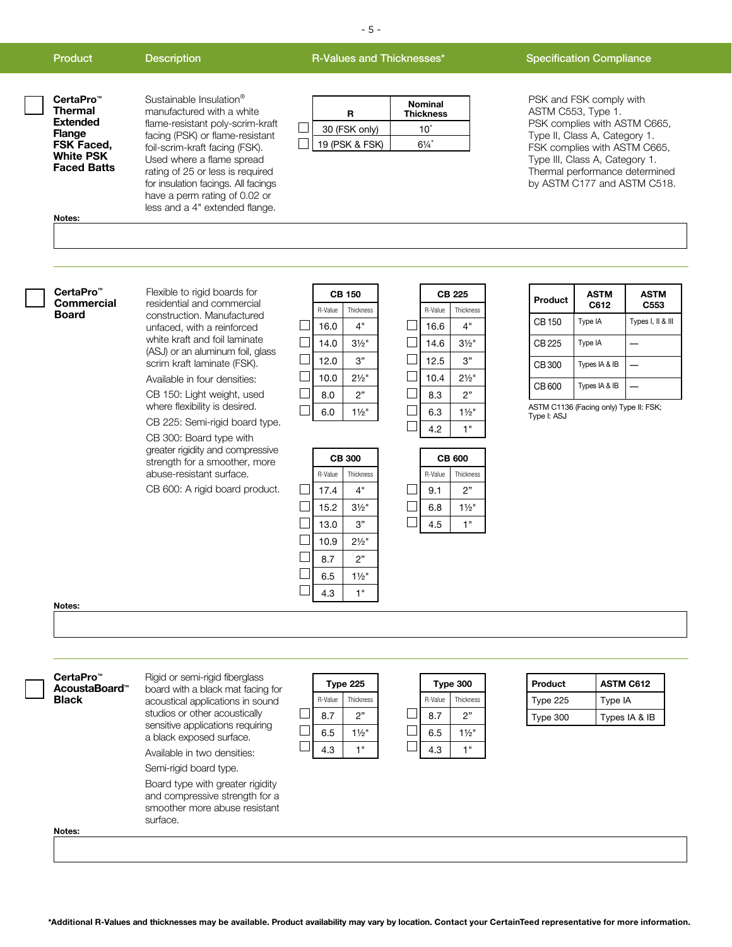#### Product Description **Description** R-Values and Thicknesses<sup>\*</sup> Specification Compliance

- 5 -

| CertaPro™<br>Thermal     | Sustainable Insulation <sup>®</sup><br>manufactured with a white                                                                                                        | R              | <b>Nominal</b><br><b>Thickness</b> |
|--------------------------|-------------------------------------------------------------------------------------------------------------------------------------------------------------------------|----------------|------------------------------------|
| Extended<br>Flange       | flame-resistant poly-scrim-kraft<br>facing (PSK) or flame-resistant                                                                                                     | 30 (FSK only)  | 10"                                |
| FSK Faced,               |                                                                                                                                                                         | 19 (PSK & FSK) | $6\frac{1}{4}$ "                   |
| White PSK<br>Faced Batts | foil-scrim-kraft facing (FSK).<br>Used where a flame spread<br>rating of 25 or less is required<br>for insulation facings. All facings<br>have a perm rating of 0.02 or |                |                                    |
| Notes:                   | less and a 4" extended flange.                                                                                                                                          |                |                                    |

#### PSK and FSK comply with ASTM C553, Type 1. PSK complies with ASTM C665, Type II, Class A, Category 1. FSK complies with ASTM C665, Type III, Class A, Category 1. Thermal performance determined by ASTM C177 and ASTM C518.

#### **CertaPro™ Commercial Board**

residential and commercial construction. Manufactured unfaced, with a reinforced white kraft and foil laminate (ASJ) or an aluminum foil, glass scrim kraft laminate (FSK).

Flexible to rigid boards for

Available in four densities:

CB 150: Light weight, used where flexibility is desired.

CB 225: Semi-rigid board type.

CB 300: Board type with greater rigidity and compressive strength for a smoother, more abuse-resistant surface.

CB 600: A rigid board product.

| CB 150  |                  |  |
|---------|------------------|--|
| R-Value | <b>Thickness</b> |  |
| 16.0    | 4"               |  |
| 14.0    | $3\frac{1}{2}$ " |  |
| 12.0    | 3"               |  |
| 10.0    | $2\frac{1}{2}$ " |  |
| 8.0     | 2"               |  |
| 6.0     | $1\frac{1}{2}$ " |  |

**CB 300** R-Value Thickness

|              |         | CB 225           |
|--------------|---------|------------------|
|              | R-Value | Thickness        |
| $\mathbf{L}$ | 16.6    | 4"               |
|              | 14.6    | $3\frac{1}{2}$ " |
|              | 12.5    | 3"               |
|              | 10.4    | $2\frac{1}{2}$ " |
|              | 8.3     | 2"               |
|              | 6.3     | $1\frac{1}{2}$ " |
|              | 4.2     |                  |
|              |         |                  |

**CB 600** R-Value Thickness 9.1 2"  $6.8$  11/2" 4.5 1"

 $\Box$  $\Box$  $\Box$ 

| Product      | <b>ASTM</b><br>C612 | <b>ASTM</b><br>C553 |
|--------------|---------------------|---------------------|
| <b>CB150</b> | Type IA             | Types I, II & III   |
| CB 225       | Type IA             |                     |
| <b>CB300</b> | Types IA & IB       |                     |
| CB 600       | Types IA & IB       |                     |

ASTM C1136 (Facing only) Type II: FSK; Type I: ASJ

| 17.4 | 4"               |
|------|------------------|
| 15.2 | $3\frac{1}{2}$ " |
| 13.0 | 3"               |
| 10.9 | $2\frac{1}{2}$ " |
| 8.7  | 2"               |
| 6.5  | $1\frac{1}{2}$ " |
| 4.3  | "                |
|      |                  |

|--|

| board with a black mat facing for                                                                                                                                |          |         | <b>Type 225</b>  | Type 300 |                | Product  | <b>ASTM C612</b> |
|------------------------------------------------------------------------------------------------------------------------------------------------------------------|----------|---------|------------------|----------|----------------|----------|------------------|
| acoustical applications in sound<br>studios or other acoustically<br>sensitive applications requiring<br>a black exposed surface.<br>Available in two densities: |          | R-Value | Thickness        | R-Value  | Thickness      | Type 225 | Type IA          |
|                                                                                                                                                                  |          | 8.7     | 2"               | 8.7      | 2"             | Type 300 | Types IA & IB    |
|                                                                                                                                                                  |          | 6.5     | $1\frac{1}{2}$ " | 6.5      | $1\frac{1}{2}$ |          |                  |
|                                                                                                                                                                  |          | 4.3     | $-1$             | 4.3      | $-1$           |          |                  |
| Semi-rigid board type.                                                                                                                                           |          |         |                  |          |                |          |                  |
| Board type with greater rigidity<br>and compressive strength for a<br>smoother more abuse resistant                                                              |          |         |                  |          |                |          |                  |
|                                                                                                                                                                  | surface. |         |                  |          |                |          |                  |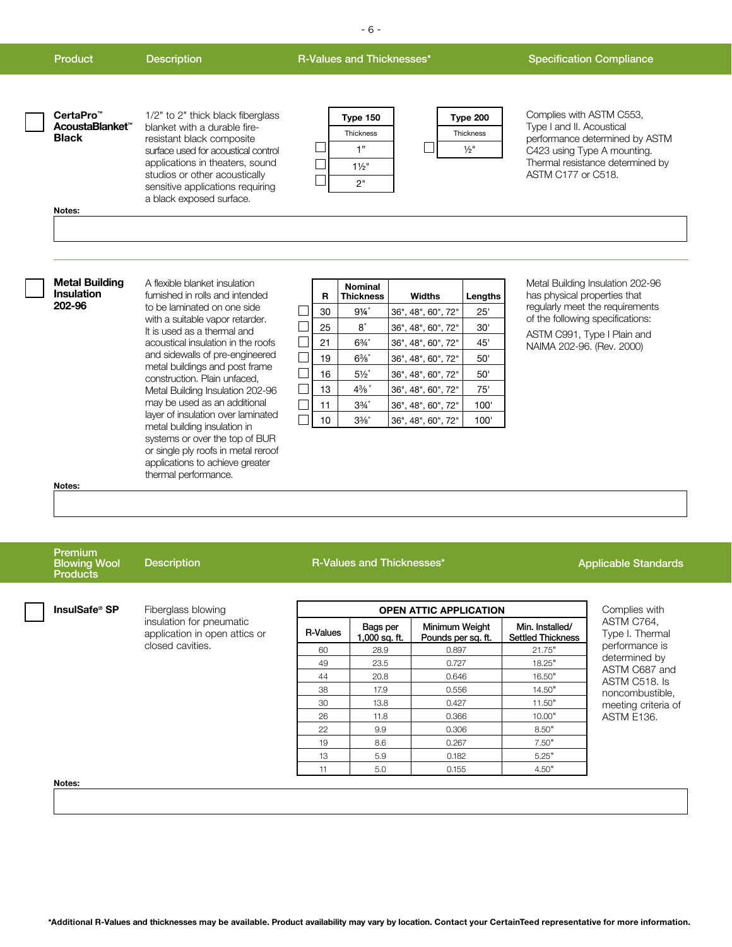| <b>Product</b>                                                                 | <b>Description</b>                                                                                                                                                                                                                                                                                                                               | R-Values and Thicknesses* |                                       |                                                                                                                             |                                                                                                                                                   |                                                   | <b>Specification Compliance</b>                                                                                                                                                                     |
|--------------------------------------------------------------------------------|--------------------------------------------------------------------------------------------------------------------------------------------------------------------------------------------------------------------------------------------------------------------------------------------------------------------------------------------------|---------------------------|---------------------------------------|-----------------------------------------------------------------------------------------------------------------------------|---------------------------------------------------------------------------------------------------------------------------------------------------|---------------------------------------------------|-----------------------------------------------------------------------------------------------------------------------------------------------------------------------------------------------------|
| CertaPro <sup>™</sup><br>AcoustaBlanket <sup>™</sup><br><b>Black</b><br>Notes: | 1/2" to 2" thick black fiberglass<br>blanket with a durable fire-<br>resistant black composite<br>surface used for acoustical control<br>applications in theaters, sound<br>studios or other acoustically<br>sensitive applications requiring<br>a black exposed surface.                                                                        |                           |                                       | Type 150<br>Thickness<br>1"<br>$1\frac{1}{2}$<br>2"                                                                         |                                                                                                                                                   | Type 200<br>Thickness<br>$\frac{1}{2}$ "          | Complies with ASTM C553,<br>Type I and II. Acoustical<br>performance determined by ASTM<br>C423 using Type A mounting.<br>Thermal resistance determined by<br>ASTM C177 or C518.                    |
|                                                                                |                                                                                                                                                                                                                                                                                                                                                  |                           |                                       |                                                                                                                             |                                                                                                                                                   |                                                   |                                                                                                                                                                                                     |
| <b>Metal Building</b><br><b>Insulation</b><br>202-96                           | A flexible blanket insulation<br>furnished in rolls and intended<br>to be laminated on one side<br>with a suitable vapor retarder.<br>It is used as a thermal and<br>acoustical insulation in the roofs<br>and sidewalls of pre-engineered<br>metal buildings and post frame<br>construction. Plain unfaced,<br>Metal Building Insulation 202-96 |                           | R<br>30<br>25<br>21<br>19<br>16<br>13 | <b>Nominal</b><br><b>Thickness</b><br>$9\frac{1}{4}$<br>8"<br>$6\frac{3}{4}$<br>$6\%$<br>$5\frac{1}{2}$<br>$4\frac{3}{8}$ " | <b>Widths</b><br>36", 48", 60", 72"<br>36", 48", 60", 72"<br>36", 48", 60", 72"<br>36", 48", 60", 72"<br>36", 48", 60", 72"<br>36", 48", 60", 72" | Lengths<br>25'<br>30'<br>45'<br>50'<br>50'<br>75' | Metal Building Insulation 202-96<br>has physical properties that<br>regularly meet the requirements<br>of the following specifications:<br>ASTM C991, Type I Plain and<br>NAIMA 202-96. (Rev. 2000) |
|                                                                                | may be used as an additional                                                                                                                                                                                                                                                                                                                     |                           | 11                                    | $3\frac{3}{4}$ "                                                                                                            | 36", 48", 60", 72"                                                                                                                                | 100'                                              |                                                                                                                                                                                                     |

 $\blacksquare$  $\Box$ 

- 6 -

**Notes:**

#### Premium Blowing Wool **Products**

**Description** 

insulation for pneumatic application in open attics or

closed cavities.

**InsulSafe<sup>®</sup> SP** Fiberglass blowing

layer of insulation over laminated metal building insulation in systems or over the top of BUR or single ply roofs in metal reroof applications to achieve greater thermal performance.

#### R-Values and Thicknesses\* Applicable Standards

1,000 sq. ft.

 $R-Values$  Bags per

10 33⁄8" 36", 48", 60", 72" 100'

**OPEN ATTIC APPLICATION**

 28.9 0.897 21.75" 23.5 0.727 18.25" 20.8 0.646 16.50" 17.9 0.556 14.50" 13.8 0.427 11.50" 11.8 0.366 10.00" 22 9.9 0.306 8.50" 8.6 0.267 7.50" 5.9 0.182 5.25" 5.0 0.155 4.50"

Minimum Weight Pounds per sq. ft.

Min. Installed/ **Settled Thickness** 

Complies with ASTM C764, Type I. Thermal performance is determined by ASTM C687 and ASTM C518. Is noncombustible, meeting criteria of ASTM E136.

**Notes:**

**\*Additional R-Values and thicknesses may be available. Product availability may vary by location. Contact your CertainTeed representative for more information.**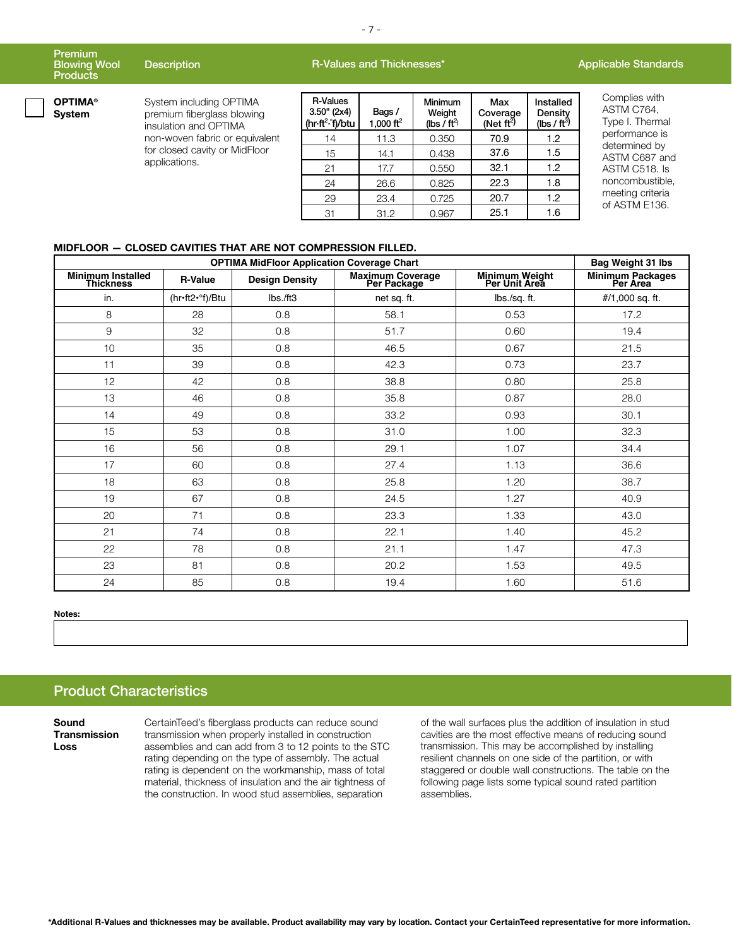|               | Premium<br><b>Blowing Wool</b><br><b>Products</b> | <b>Description</b>                                                             |                                                            | R-Values and Thicknesses*      |                                             | <b>Applicable Standards</b>      |                                         |                                                |
|---------------|---------------------------------------------------|--------------------------------------------------------------------------------|------------------------------------------------------------|--------------------------------|---------------------------------------------|----------------------------------|-----------------------------------------|------------------------------------------------|
|               | <b>OPTIMA®</b><br>System                          | System including OPTIMA<br>premium fiberglass blowing<br>insulation and OPTIMA | R-Values<br>$3.50$ " (2x4)<br>(hr·ft <sup>2</sup> ·°f)/btu | Bags/<br>1.000 ft <sup>2</sup> | <b>Minimum</b><br>Weight<br>(lbs / $ft^3$ ) | Max<br>Coverage<br>(Net $ft^2$ ) | Installed<br>Density<br>(lbs / $ft^3$ ) | Complies with<br>ASTM C764,<br>Type I. Thermal |
| applications. | non-woven fabric or equivalent                    | 14                                                                             | 11.3                                                       | 0.350                          | 70.9                                        | $1.2^{\circ}$                    | performance is                          |                                                |
|               | for closed cavity or MidFloor                     | 15                                                                             | 14.1                                                       | 0.438                          | 37.6                                        | 1.5                              | determined by<br>ASTM C687 and          |                                                |
|               |                                                   | 21                                                                             | 17.7                                                       | 0.550                          | 32.1                                        | $1.2^{\circ}$                    | ASTM C518. Is                           |                                                |
|               |                                                   | 24                                                                             | 26.6                                                       | 0.825                          | 22.3                                        | 1.8                              | noncombustible,                         |                                                |
|               |                                                   |                                                                                | 29                                                         | 23.4                           | 0.725                                       | 20.7                             | 1.2                                     | meeting criteria<br>of ASTM E136.              |
|               |                                                   |                                                                                |                                                            |                                |                                             |                                  |                                         |                                                |

31 31.2 0.967 25.1 1.6

#### **MIDFLOOR — CLOSED CAVITIES THAT ARE NOT COMPRESSION FILLED.**

|                                              | Bag Weight 31 lbs |                       |                                 |                                 |                              |
|----------------------------------------------|-------------------|-----------------------|---------------------------------|---------------------------------|------------------------------|
| <b>Minimum Installed</b><br><b>Thickness</b> | <b>R-Value</b>    | <b>Design Density</b> | Maximum Coverage<br>Per Package | Minimum Weight<br>Per Unit Area | Minimum Packages<br>Per Area |
| in.                                          | (hr•ft2•°f)/Btu   | lbs./ft3              | net sq. ft.                     | lbs./sq. ft.                    | $#/1,000$ sq. ft.            |
| 8                                            | 28                | 0.8                   | 58.1                            | 0.53                            | 17.2                         |
| 9                                            | 32                | 0.8                   | 51.7                            | 0.60                            | 19.4                         |
| 10                                           | 35                | 0.8                   | 46.5                            | 0.67                            | 21.5                         |
| 11                                           | 39                | 0.8                   | 42.3                            | 0.73                            | 23.7                         |
| 12                                           | 42                | 0.8                   | 38.8                            | 0.80                            | 25.8                         |
| 13                                           | 46                | 0.8                   | 35.8                            | 0.87                            | 28.0                         |
| 14                                           | 49                | 0.8                   | 33.2                            | 0.93                            | 30.1                         |
| 15                                           | 53                | 0.8                   | 31.0                            | 1.00                            | 32.3                         |
| 16                                           | 56                | 0.8                   | 29.1                            | 1.07                            | 34.4                         |
| 17                                           | 60                | 0.8                   | 27.4                            | 1.13                            | 36.6                         |
| 18                                           | 63                | 0.8                   | 25.8                            | 1.20                            | 38.7                         |
| 19                                           | 67                | 0.8                   | 24.5                            | 1.27                            | 40.9                         |
| 20                                           | 71                | 0.8                   | 23.3                            | 1.33                            | 43.0                         |
| 21                                           | 74                | 0.8                   | 22.1                            | 1.40                            | 45.2                         |
| 22                                           | 78                | 0.8                   | 21.1                            | 1.47                            | 47.3                         |
| 23                                           | 81                | 0.8                   | 20.2                            | 1.53                            | 49.5                         |
| 24                                           | 85                | 0.8                   | 19.4                            | 1.60                            | 51.6                         |

**Notes:**

### Product Characteristics

**Sound Transmission Loss**

CertainTeed's fiberglass products can reduce sound transmission when properly installed in construction assemblies and can add from 3 to 12 points to the STC rating depending on the type of assembly. The actual rating is dependent on the workmanship, mass of total material, thickness of insulation and the air tightness of the construction. In wood stud assemblies, separation

of the wall surfaces plus the addition of insulation in stud cavities are the most effective means of reducing sound transmission. This may be accomplished by installing resilient channels on one side of the partition, or with staggered or double wall constructions. The table on the following page lists some typical sound rated partition assemblies.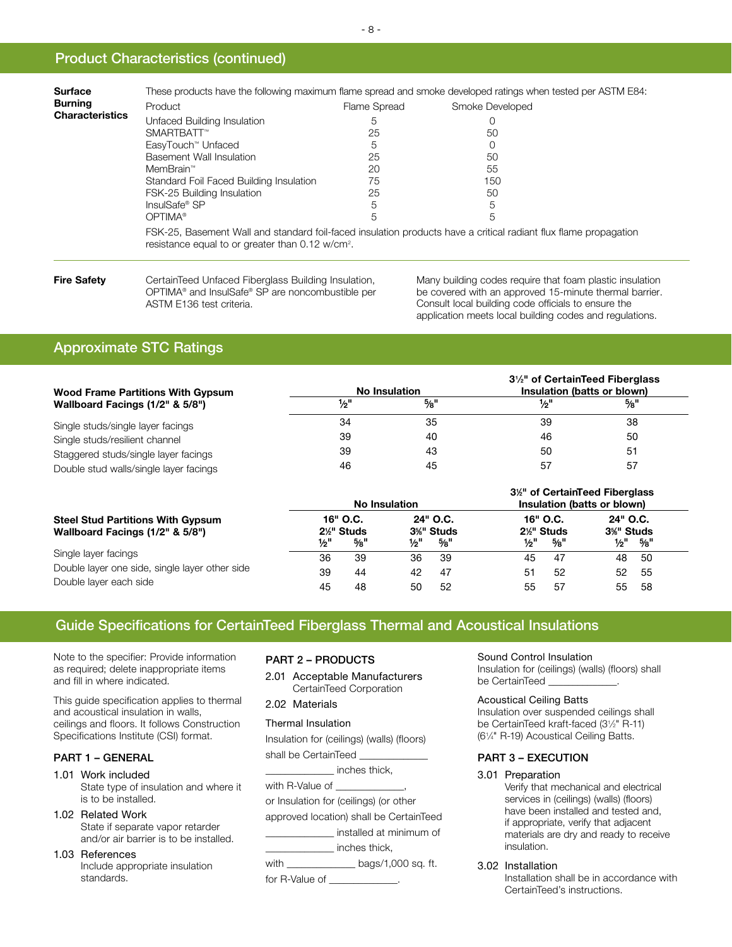### Product Characteristics (continued)

| <b>Burning</b><br><b>Characteristics</b> | Product                                                                                                                                                                            | Flame Spread | Smoke Developed  |  |  |  |  |  |
|------------------------------------------|------------------------------------------------------------------------------------------------------------------------------------------------------------------------------------|--------------|------------------|--|--|--|--|--|
|                                          | Unfaced Building Insulation                                                                                                                                                        | 5            | $\left( \right)$ |  |  |  |  |  |
|                                          | SMARTBATT™                                                                                                                                                                         | 25           | 50               |  |  |  |  |  |
|                                          | EasyTouch <sup>™</sup> Unfaced                                                                                                                                                     | 5            |                  |  |  |  |  |  |
|                                          | Basement Wall Insulation                                                                                                                                                           | 25           | 50               |  |  |  |  |  |
|                                          | MemBrain™                                                                                                                                                                          | 20           | 55               |  |  |  |  |  |
|                                          | Standard Foil Faced Building Insulation                                                                                                                                            | 75           | 150              |  |  |  |  |  |
|                                          | FSK-25 Building Insulation                                                                                                                                                         | 25           | 50               |  |  |  |  |  |
|                                          | InsulSafe® SP                                                                                                                                                                      | 5            | 5                |  |  |  |  |  |
|                                          | OPTIMA <sup>®</sup>                                                                                                                                                                | b            | 5                |  |  |  |  |  |
|                                          | FSK-25, Basement Wall and standard foil-faced insulation products have a critical radiant flux flame propagation<br>resistance equal to or greater than $0.12$ w/cm <sup>2</sup> . |              |                  |  |  |  |  |  |

**Fire Safety** CertainTeed Unfaced Fiberglass Building Insulation, OPTIMA® and InsulSafe® SP are noncombustible per ASTM E136 test criteria.

Many building codes require that foam plastic insulation be covered with an approved 15-minute thermal barrier. Consult local building code officials to ensure the application meets local building codes and regulations.

## Approximate STC Ratings

| <b>Wood Frame Partitions With Gypsum</b> |      | No Insulation   | 3 <sup>1</sup> / <sub>2</sub> " of CertainTeed Fiberglass<br>Insulation (batts or blown) |                 |  |  |
|------------------------------------------|------|-----------------|------------------------------------------------------------------------------------------|-----------------|--|--|
| Wallboard Facings (1/2" & 5/8")          | 1⁄2" | $\frac{5}{8}$ " | 1⁄2"                                                                                     | $\frac{5}{8}$ " |  |  |
| Single studs/single layer facings        | 34   | 35              | 39                                                                                       | 38              |  |  |
| Single studs/resilient channel           | 39   | 40              | 46                                                                                       | 50              |  |  |
| Staggered studs/single layer facings     | 39   | 43              | 50                                                                                       | -51             |  |  |
| Double stud walls/single layer facings   | 46   | 45              | 57                                                                                       | 57              |  |  |

|                                                                                                  |                |                                                      | No Insulation  |                                                      | 3 <sup>1/2</sup> of CertainTeed Fiberglass<br>Insulation (batts or blown) |                                                      |                                                      |                 |  |
|--------------------------------------------------------------------------------------------------|----------------|------------------------------------------------------|----------------|------------------------------------------------------|---------------------------------------------------------------------------|------------------------------------------------------|------------------------------------------------------|-----------------|--|
| <b>Steel Stud Partitions With Gypsum</b><br>Wallboard Facings (1/2" & 5/8")                      | 1⁄2"           | 16" O.C.<br>2 <sup>1/</sup> Studs<br>$\frac{5}{8}$ " | 1⁄2"           | 24" O.C.<br>3 <sup>%"</sup> Studs<br>$\frac{5}{8}$ " | 1⁄2"                                                                      | 16" O.C.<br>2 <sup>1/</sup> Studs<br>$\frac{5}{8}$ " | 24" O.C.<br>3 <sup>%"</sup> Studs<br>$\frac{1}{2}$ " | $\frac{5}{8}$ " |  |
| Single layer facings<br>Double layer one side, single layer other side<br>Double layer each side | 36<br>39<br>45 | 39<br>44<br>48                                       | 36<br>42<br>50 | -39<br>-47<br>52                                     | 45<br>51<br>55                                                            | 47<br>52<br>57                                       | 48<br>52<br>55                                       | -50<br>55<br>58 |  |

## Guide Specifications for CertainTeed Fiberglass Thermal and Acoustical Insulations

Note to the specifier: Provide information as required; delete inappropriate items and fill in where indicated.

This guide specification applies to thermal and acoustical insulation in walls, ceilings and floors. It follows Construction Specifications Institute (CSI) format.

#### PART 1 – GENERAL

1.01 Work included State type of insulation and where it is to be installed.

- 1.02 Related Work State if separate vapor retarder and/or air barrier is to be installed.
- 1.03 References Include appropriate insulation standards.

#### PART 2 – PRODUCTS

2.01 Acceptable Manufacturers CertainTeed Corporation

#### 2.02 Materials

Thermal Insulation

Insulation for (ceilings) (walls) (floors)

shall be CertainTeed \_\_\_\_\_\_\_\_\_\_\_\_\_\_ \_\_\_\_\_\_\_\_\_\_\_\_\_\_ inches thick,

with R-Value of

or Insulation for (ceilings) (or other

approved location) shall be CertainTeed

\_\_\_\_\_\_\_\_\_\_\_\_\_\_ installed at minimum of

\_\_\_\_\_\_\_\_\_\_\_\_\_\_ inches thick,

with \_\_\_\_\_\_\_\_\_\_\_\_\_\_\_\_ bags/1,000 sq. ft.

for R-Value of \_\_\_\_

#### Sound Control Insulation

Insulation for (ceilings) (walls) (floors) shall be CertainTeed \_

#### Acoustical Ceiling Batts

Insulation over suspended ceilings shall be CertainTeed kraft-faced (31 ⁄2" R-11) (61 ⁄4" R-19) Acoustical Ceiling Batts.

#### PART 3 – EXECUTION

#### 3.01 Preparation

Verify that mechanical and electrical services in (ceilings) (walls) (floors) have been installed and tested and, if appropriate, verify that adjacent materials are dry and ready to receive insulation.

3.02 Installation

Installation shall be in accordance with CertainTeed's instructions.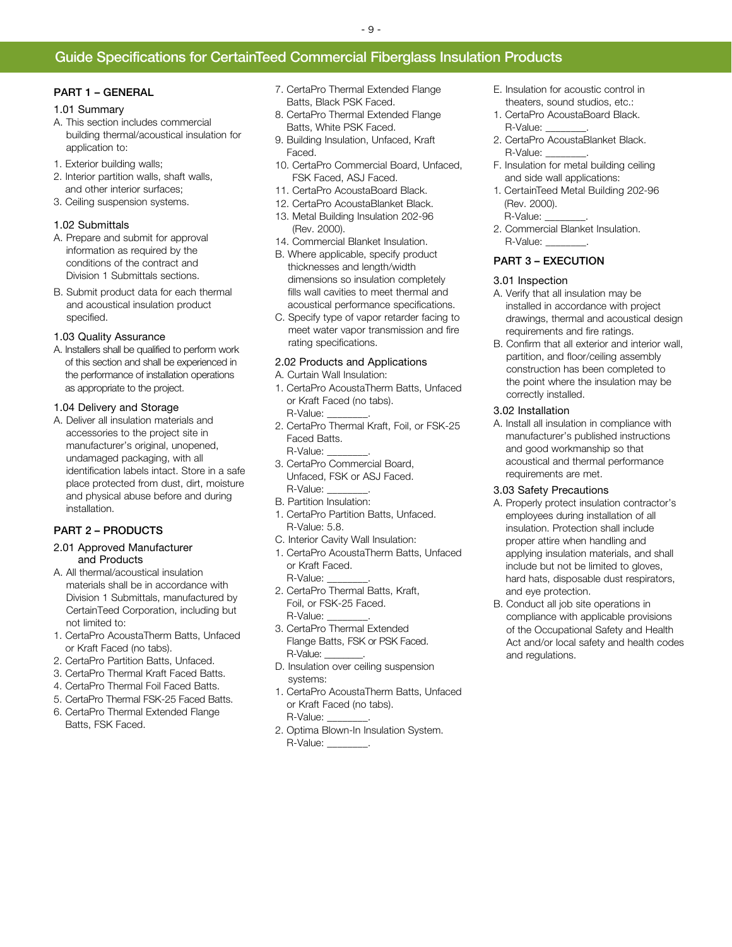### Guide Specifications for CertainTeed Commercial Fiberglass Insulation Products

#### PART 1 – GENERAL

#### 1.01 Summary

- A. This section includes commercial building thermal/acoustical insulation for application to:
- 1. Exterior building walls;
- 2. Interior partition walls, shaft walls, and other interior surfaces;
- 3. Ceiling suspension systems.

#### 1.02 Submittals

- A. Prepare and submit for approval information as required by the conditions of the contract and Division 1 Submittals sections.
- B. Submit product data for each thermal and acoustical insulation product specified.

#### 1.03 Quality Assurance

A. Installers shall be qualified to perform work of this section and shall be experienced in the performance of installation operations as appropriate to the project.

#### 1.04 Delivery and Storage

A. Deliver all insulation materials and accessories to the project site in manufacturer's original, unopened, undamaged packaging, with all identification labels intact. Store in a safe place protected from dust, dirt, moisture and physical abuse before and during installation.

#### PART 2 – PRODUCTS

- 2.01 Approved Manufacturer and Products
- A. All thermal/acoustical insulation materials shall be in accordance with Division 1 Submittals, manufactured by CertainTeed Corporation, including but not limited to:
- 1. CertaPro AcoustaTherm Batts, Unfaced or Kraft Faced (no tabs).
- 2. CertaPro Partition Batts, Unfaced.
- 3. CertaPro Thermal Kraft Faced Batts.
- 4. CertaPro Thermal Foil Faced Batts.
- 5. CertaPro Thermal FSK-25 Faced Batts.
- 6. CertaPro Thermal Extended Flange Batts, FSK Faced.
- 7. CertaPro Thermal Extended Flange Batts, Black PSK Faced.
- 8. CertaPro Thermal Extended Flange Batts, White PSK Faced.
- 9. Building Insulation, Unfaced, Kraft Faced.
- 10. CertaPro Commercial Board, Unfaced, FSK Faced, ASJ Faced.
- 11. CertaPro AcoustaBoard Black.
- 12. CertaPro AcoustaBlanket Black. 13. Metal Building Insulation 202-96 (Rev. 2000).
- 14. Commercial Blanket Insulation.
- B. Where applicable, specify product thicknesses and length/width dimensions so insulation completely fills wall cavities to meet thermal and acoustical performance specifications.
- C. Specify type of vapor retarder facing to meet water vapor transmission and fire rating specifications.

#### 2.02 Products and Applications

A. Curtain Wall Insulation:

- 1. CertaPro AcoustaTherm Batts, Unfaced or Kraft Faced (no tabs). R-Value:
- 2. CertaPro Thermal Kraft, Foil, or FSK-25 Faced Batts. R-Value:
- 3. CertaPro Commercial Board, Unfaced, FSK or ASJ Faced. R-Value:
- B. Partition Insulation:
- 1. CertaPro Partition Batts, Unfaced. R-Value: 5.8.
- C. Interior Cavity Wall Insulation:
- 1. CertaPro AcoustaTherm Batts, Unfaced or Kraft Faced. R-Value:
- 2. CertaPro Thermal Batts, Kraft, Foil, or FSK-25 Faced. R-Value:
- 3. CertaPro Thermal Extended Flange Batts, FSK or PSK Faced. R-Value:
- D. Insulation over ceiling suspension systems:
- 1. CertaPro AcoustaTherm Batts, Unfaced or Kraft Faced (no tabs). R-Value:
- 2. Optima Blown-In Insulation System. R-Value:
- E. Insulation for acoustic control in theaters, sound studios, etc.:
- 1. CertaPro AcoustaBoard Black. R-Value:
- 2. CertaPro AcoustaBlanket Black. R-Value:
- F. Insulation for metal building ceiling and side wall applications:
- 1. CertainTeed Metal Building 202-96 (Rev. 2000). R-Value:
- 2. Commercial Blanket Insulation. R-Value:

#### PART 3 – EXECUTION

#### 3.01 Inspection

- A. Verify that all insulation may be installed in accordance with project drawings, thermal and acoustical design requirements and fire ratings.
- B. Confirm that all exterior and interior wall, partition, and floor/ceiling assembly construction has been completed to the point where the insulation may be correctly installed.

#### 3.02 Installation

A. Install all insulation in compliance with manufacturer's published instructions and good workmanship so that acoustical and thermal performance requirements are met.

#### 3.03 Safety Precautions

- A. Properly protect insulation contractor's employees during installation of all insulation. Protection shall include proper attire when handling and applying insulation materials, and shall include but not be limited to gloves, hard hats, disposable dust respirators, and eye protection.
- B. Conduct all job site operations in compliance with applicable provisions of the Occupational Safety and Health Act and/or local safety and health codes and regulations.